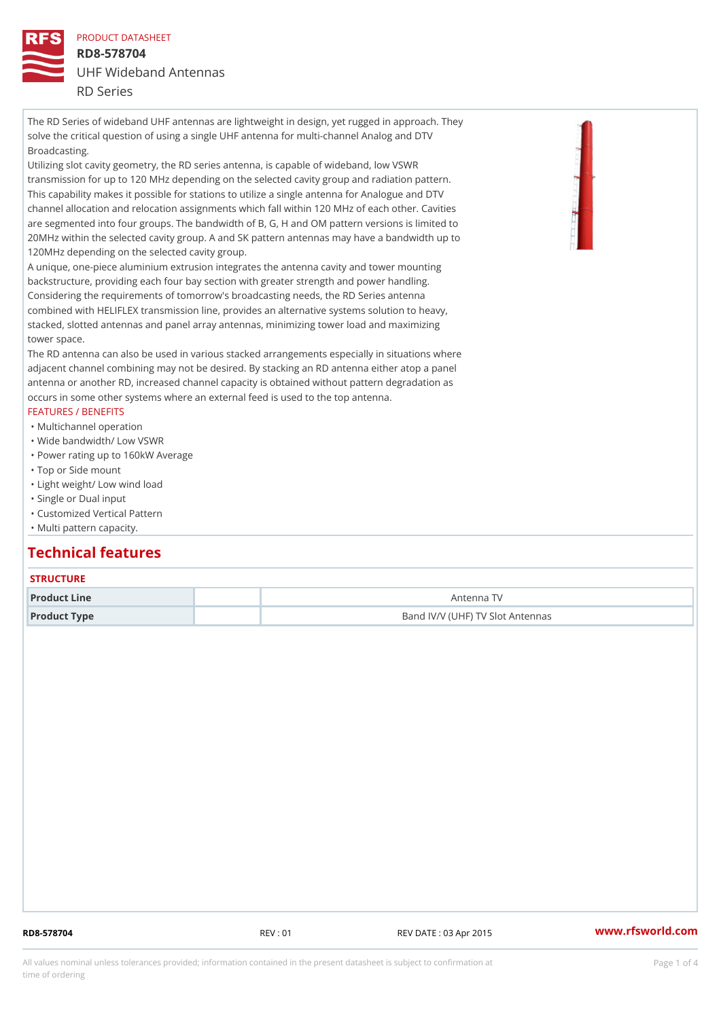PRODUCT DATASHEET RD8-578704 UHF Wideband Antennas RD Series

The RD Series of wideband UHF antennas are lightweight in design, yet rugged in approach. They solve the critical question of using a single UHF antenna for multi-channel Analog and DTV Broadcasting.

Utilizing slot cavity geometry, the RD series antenna, is capable of wideband, low VSWR transmission for up to 120 MHz depending on the selected cavity group and radiation pattern. This capability makes it possible for stations to utilize a single antenna for Analogue and DTV channel allocation and relocation assignments which fall within 120 MHz of each other. Cavities are segmented into four groups. The bandwidth of B, G, H and OM pattern versions is limited to 20MHz within the selected cavity group. A and SK pattern antennas may have a bandwidth up to 120MHz depending on the selected cavity group.

A unique, one-piece aluminium extrusion integrates the antenna cavity and tower mounting backstructure, providing each four bay section with greater strength and power handling. Considering the requirements of tomorrow's broadcasting needs, the RD Series antenna combined with HELIFLEX transmission line, provides an alternative systems solution to heavy, stacked, slotted antennas and panel array antennas, minimizing tower load and maximizing tower space.

The RD antenna can also be used in various stacked arrangements especially in situations where adjacent channel combining may not be desired. By stacking an RD antenna either atop a panel antenna or another RD, increased channel capacity is obtained without pattern degradation as occurs in some other systems where an external feed is used to the top antenna.

#### FEATURES / BENEFITS

- "Multichannel operation
- "Wide bandwidth/ Low VSWR
- "Power rating up to 160kW Average
- "Top or Side mount
- "Light weight/ Low wind load
- "Single or Dual input
- "Customized Vertical Pattern
- "Multi pattern capacity.

# Technical features

### **STRUCTURE**

| Product Line | Antenna TV                       |
|--------------|----------------------------------|
| Product Type | Band IV/V (UHF) TV Slot Antennas |

RD8-578704 REV : 01 REV DATE : 03 Apr 2015 [www.](https://www.rfsworld.com)rfsworld.com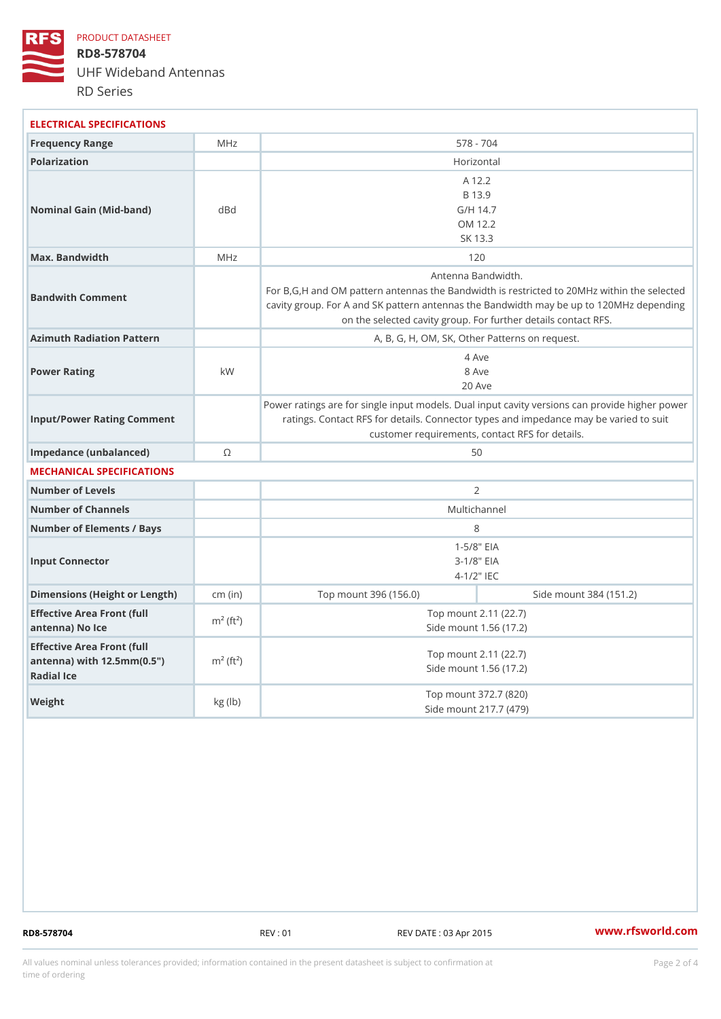PRODUCT DATASHEET RD8-578704 UHF Wideband Antennas RD Series

| ELECTRICAL SPECIFICATIONS                                                                               |               |                                                                                                                                                                                                                         |                        |  |
|---------------------------------------------------------------------------------------------------------|---------------|-------------------------------------------------------------------------------------------------------------------------------------------------------------------------------------------------------------------------|------------------------|--|
| Frequency Range                                                                                         | MHz           | 578 - 704                                                                                                                                                                                                               |                        |  |
| Polarization                                                                                            |               | Horizontal                                                                                                                                                                                                              |                        |  |
| Nominal Gain (Mid-band)                                                                                 | dBd           | A 12.2<br>B 13.9<br>G/H 14.7<br>OM 12.2<br>SK 13.3                                                                                                                                                                      |                        |  |
| Max. Bandwidth                                                                                          | MHz           | 120                                                                                                                                                                                                                     |                        |  |
| Bandwith Comment                                                                                        |               | Antenna Bandwidth.<br>For B, G, H and OM pattern antennas the Bandwidth is restricted to<br>cavity group. For A and SK pattern antennas the Bandwidth may b<br>on the selected cavity group. For further details contal |                        |  |
| Azimuth Radiation Pattern                                                                               |               | A, B, G, H, OM, SK, Other Patterns on request.                                                                                                                                                                          |                        |  |
| Power Rating                                                                                            | k W           | 4 Ave<br>8 Ave<br>$20$ Ave                                                                                                                                                                                              |                        |  |
| Input/Power Rating Comment                                                                              |               | Power ratings are for single input models. Dual input cavity versid<br>ratings. Contact RFS for details. Connector types and impedand<br>customer requirements, contact RFS for details.                                |                        |  |
| Impedance (unbalanced)                                                                                  | $\odot$       | 50                                                                                                                                                                                                                      |                        |  |
| MECHANICAL SPECIFICATIONS                                                                               |               |                                                                                                                                                                                                                         |                        |  |
| Number of Levels                                                                                        |               | $\overline{2}$                                                                                                                                                                                                          |                        |  |
| Number of Channels                                                                                      |               | Multichannel                                                                                                                                                                                                            |                        |  |
| Number of Elements / Bays                                                                               |               | 8                                                                                                                                                                                                                       |                        |  |
| Input Connector                                                                                         |               | $1 - 5/8$ $EIA$<br>$3 - 1/8$ $EIA$<br>$4 - 1/2$ $\top$ IEC                                                                                                                                                              |                        |  |
| Dimensions (Height or Length) (in)                                                                      |               | Top mount 396 (156.0)                                                                                                                                                                                                   | Side mount 384 (151.2) |  |
| Effective Area Front (full $m^2$ (ft <sup>2</sup> )<br>antenna) No Ice                                  |               | Top mount 2.11 (22.7)<br>Side mount 1.56 (17.2)                                                                                                                                                                         |                        |  |
| Effective Area Front (full<br>antenna) with $12.5$ mm $(0.5$ " $\pi$ <sup>2</sup> $(ft2)$<br>Radial Ice |               | Top mount 2.11 (22.7)<br>Side mount 1.56 (17.2)                                                                                                                                                                         |                        |  |
| Weight                                                                                                  | $kg$ ( $lb$ ) | Top mount 372.7 (820)<br>Side mount 217.7 (479)                                                                                                                                                                         |                        |  |

RD8-578704 REV : 01 REV DATE : 03 Apr 2015 [www.](https://www.rfsworld.com)rfsworld.com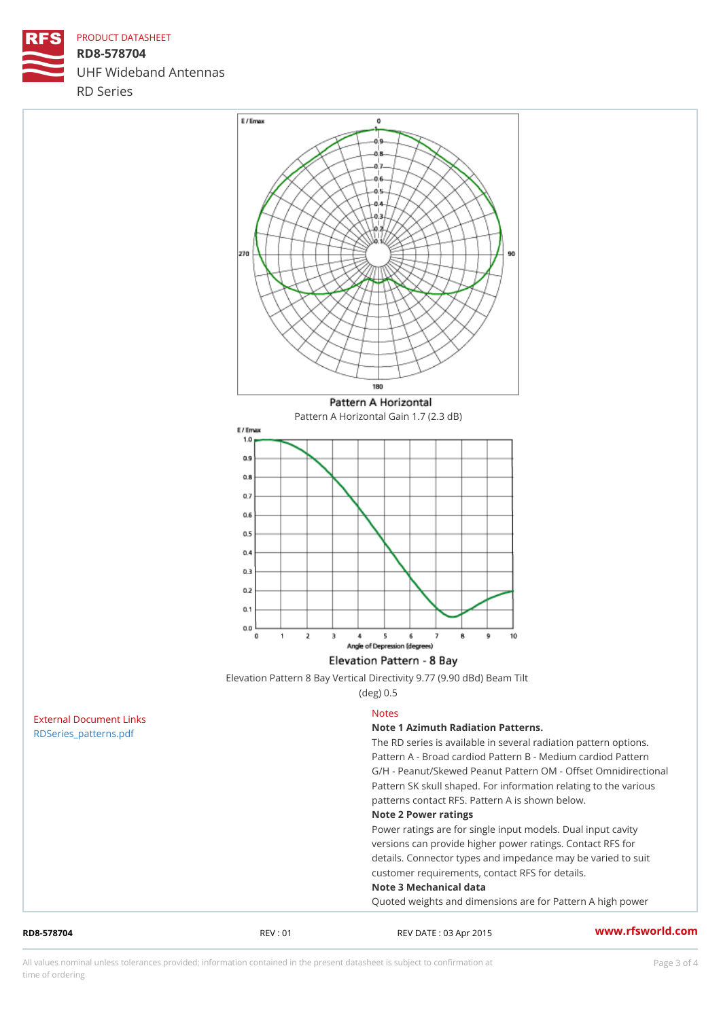## PRODUCT DATASHEET

RD8-578704 UHF Wideband Antennas RD Series

Pattern A Horizontal Gain 1.7 (2.3 dB)

| Elevation Pattern 8 Bay Vertical Directivity 9.77 (9.90 dBd) Beam Tilt |  |           |  |  |  |  |
|------------------------------------------------------------------------|--|-----------|--|--|--|--|
|                                                                        |  | (deg) 0.5 |  |  |  |  |

| RD8-578704              | REV:01 | REV DATE: 03 Apr 2015                               | www.rfsworld.co |  |
|-------------------------|--------|-----------------------------------------------------|-----------------|--|
|                         |        | Quoted weights and dimensions are for Pattern A I   |                 |  |
|                         |        | Note 3 Mechanical data                              |                 |  |
|                         |        | customer requirements, contact RFS for details.     |                 |  |
|                         |        | details. Connector types and impedance may be va    |                 |  |
|                         |        | versions can provide higher power ratings. Contac   |                 |  |
|                         |        | Power ratings are for single input models. Dual in  |                 |  |
|                         |        | Note 2 Power ratings                                |                 |  |
|                         |        | patterns contact RFS. Pattern A is shown below.     |                 |  |
|                         |        | Pattern SK skull shaped. For information relating   |                 |  |
|                         |        | G/H - Peanut/Skewed Peanut Pattern OM - Offset C    |                 |  |
|                         |        | Pattern A - Broad cardiod Pattern B - Medium dard   |                 |  |
|                         |        | The RD series is available in several radiation pat |                 |  |
| RDSeries_patterns.pdf   |        | Note 1 Azimuth Radiation Patterns.                  |                 |  |
| External Document Links |        | <b>Notes</b>                                        |                 |  |

All values nominal unless tolerances provided; information contained in the present datasheet is subject to Pcapgeling that i time of ordering